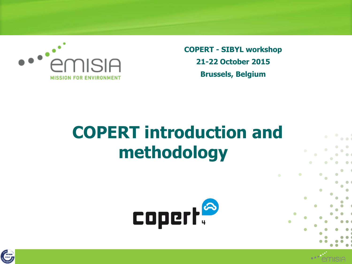

**COPERT - SIBYL workshop 21-22 October 2015 Brussels, Belgium**

# **COPERT introduction and methodology**





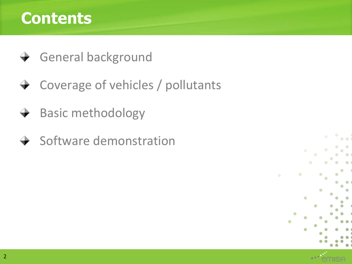#### **Contents**

- **→** General background
- **→ Coverage of vehicles / pollutants**
- Basic methodology  $\rightarrow$
- $\rightarrow$  Software demonstration

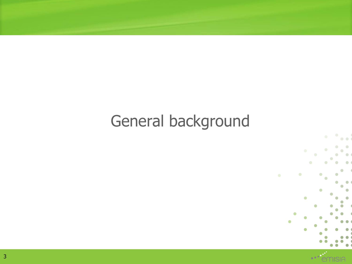## General background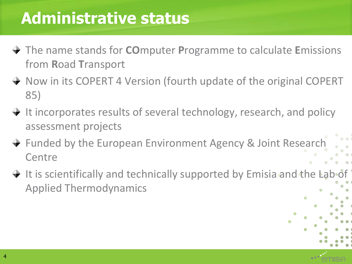#### **Administrative status**

- The name stands for **CO**mputer **P**rogramme to calculate **E**missions from **R**oad **T**ransport
- → Now in its COPERT 4 Version (fourth update of the original COPERT 85)
- $\rightarrow$  It incorporates results of several technology, research, and policy assessment projects
- **→ Funded by the European Environment Agency & Joint Research Centre**
- $\rightarrow$  It is scientifically and technically supported by Emisia and the Lab of Applied Thermodynamics

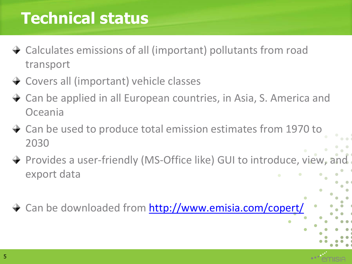#### **Technical status**

- Calculates emissions of all (important) pollutants from road transport
- **→ Covers all (important) vehicle classes**
- Can be applied in all European countries, in Asia, S. America and Oceania
- **→ Can be used to produce total emission estimates from 1970 to** 2030
- Provides a user-friendly (MS-Office like) GUI to introduce, view, and export data
- **→ Can be downloaded from <http://www.emisia.com/copert/>**

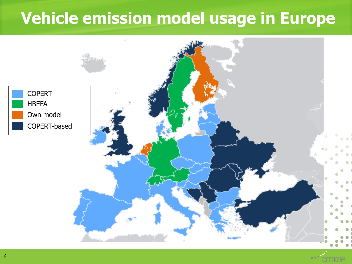#### **Vehicle emission model usage in Europe**

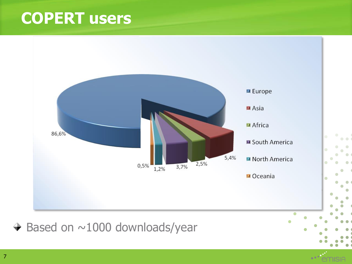#### **COPERT users**

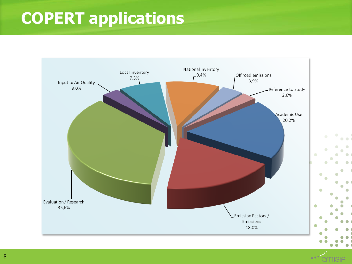# **COPERT applications**



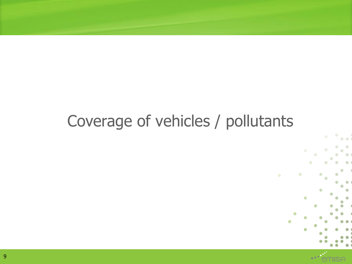#### Coverage of vehicles / pollutants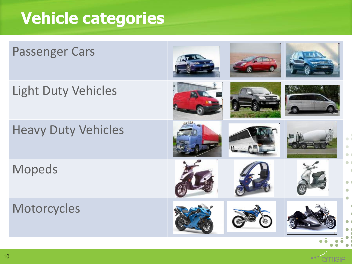### **Vehicle categories**

| <b>Passenger Cars</b>      |  |  |
|----------------------------|--|--|
| <b>Light Duty Vehicles</b> |  |  |
| <b>Heavy Duty Vehicles</b> |  |  |
| <b>Mopeds</b>              |  |  |
| Motorcycles                |  |  |

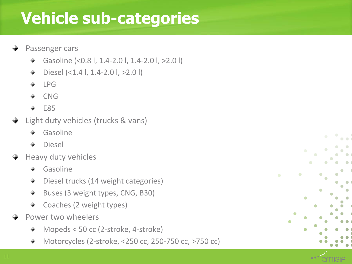#### **Vehicle sub-categories**

- Passenger cars
	- Gasoline (<0.8 l, 1.4-2.0 l, 1.4-2.0 l, >2.0 l)
	- Diesel (<1.4 l, 1.4-2.0 l, >2.0 l) 大门
	- LPG
	- CNG
	- E85
- Light duty vehicles (trucks & vans)
	- Gasoline
	- Diesel
- Heavy duty vehicles
	- Gasoline
	- Diesel trucks (14 weight categories)
	- Buses (3 weight types, CNG, B30)
	- Coaches (2 weight types) ★ …
- Power two wheelers
	- Mopeds < 50 cc (2-stroke, 4-stroke) ÷.
	- Motorcycles (2-stroke, <250 cc, 250-750 cc, >750 cc) $\pm$  .

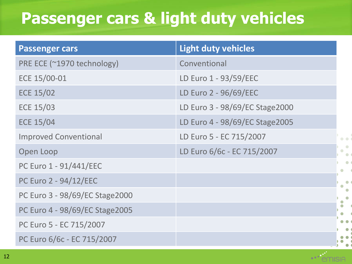#### **Passenger cars & light duty vehicles**

| <b>Passenger cars</b>          | <b>Light duty vehicles</b>     |  |
|--------------------------------|--------------------------------|--|
| PRE ECE (~1970 technology)     | Conventional                   |  |
| ECE 15/00-01                   | LD Euro 1 - 93/59/EEC          |  |
| <b>ECE 15/02</b>               | LD Euro 2 - 96/69/EEC          |  |
| <b>ECE 15/03</b>               | LD Euro 3 - 98/69/EC Stage2000 |  |
| <b>ECE 15/04</b>               | LD Euro 4 - 98/69/EC Stage2005 |  |
| <b>Improved Conventional</b>   | LD Euro 5 - EC 715/2007        |  |
| Open Loop                      | LD Euro 6/6c - EC 715/2007     |  |
| PC Euro 1 - 91/441/EEC         |                                |  |
| PC Euro 2 - 94/12/EEC          |                                |  |
| PC Euro 3 - 98/69/EC Stage2000 |                                |  |
| PC Euro 4 - 98/69/EC Stage2005 |                                |  |
| PC Euro 5 - EC 715/2007        |                                |  |
| PC Euro 6/6c - EC 715/2007     |                                |  |

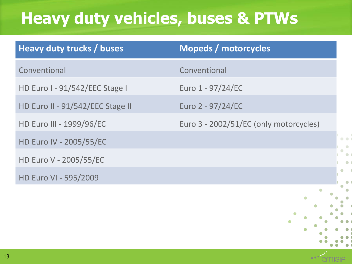### **Heavy duty vehicles, buses & PTWs**

| Heavy duty trucks / buses        | <b>Mopeds / motorcycles</b>            |
|----------------------------------|----------------------------------------|
| Conventional                     | Conventional                           |
| HD Euro I - 91/542/EEC Stage I   | Euro 1 - 97/24/EC                      |
| HD Euro II - 91/542/EEC Stage II | Euro 2 - 97/24/EC                      |
| HD Euro III - 1999/96/EC         | Euro 3 - 2002/51/EC (only motorcycles) |
| HD Euro IV - 2005/55/EC          |                                        |
| HD Euro V - 2005/55/EC           |                                        |
| HD Euro VI - 595/2009            |                                        |
|                                  |                                        |



 $\overline{\phantom{a}}$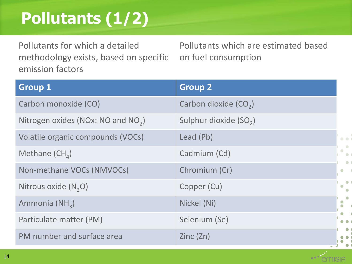# **Pollutants (1/2)**

Pollutants for which a detailed methodology exists, based on specific emission factors

Pollutants which are estimated based on fuel consumption

| <b>Group 1</b>                                 | <b>Group 2</b>                     |                  |
|------------------------------------------------|------------------------------------|------------------|
| Carbon monoxide (CO)                           | Carbon dioxide (CO <sub>2</sub> )  |                  |
| Nitrogen oxides (NOx: NO and NO <sub>2</sub> ) | Sulphur dioxide (SO <sub>2</sub> ) |                  |
| Volatile organic compounds (VOCs)              | Lead (Pb)                          | $\bullet$        |
| Methane $(CH_{A})$                             | Cadmium (Cd)                       |                  |
| Non-methane VOCs (NMVOCs)                      | Chromium (Cr)                      | $\bullet$        |
| Nitrous oxide $(N,0)$                          | Copper (Cu)                        | $\bullet$        |
| Ammonia (NH <sub>3</sub> )                     | Nickel (Ni)                        | $\ddot{\bullet}$ |
| Particulate matter (PM)                        | Selenium (Se)                      |                  |
| PM number and surface area                     | Zinc( Zn)                          |                  |

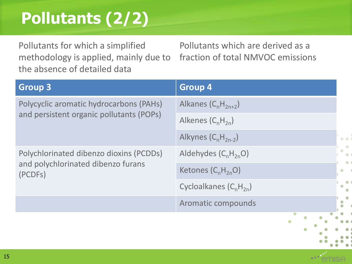# **Pollutants (2/2)**

Pollutants for which a simplified methodology is applied, mainly due to the absence of detailed data

Pollutants which are derived as a fraction of total NMVOC emissions

| <b>Group 3</b>                                                                           | <b>Group 4</b>                       |
|------------------------------------------------------------------------------------------|--------------------------------------|
| Polycyclic aromatic hydrocarbons (PAHs)<br>and persistent organic pollutants (POPs)      | Alkanes $(C_nH_{2n+2})$              |
|                                                                                          | Alkenes $(C_nH_{2n})$                |
|                                                                                          | Alkynes $(C_nH_{2n-2})$<br>$\bullet$ |
| Polychlorinated dibenzo dioxins (PCDDs)<br>and polychlorinated dibenzo furans<br>(PCDFs) | Aldehydes $(C_nH_{2n}O)$             |
|                                                                                          | Ketones $(C_nH_{2n}O)$               |
|                                                                                          | Cycloalkanes $(C_nH_{2n})$           |
|                                                                                          | Aromatic compounds                   |
|                                                                                          |                                      |

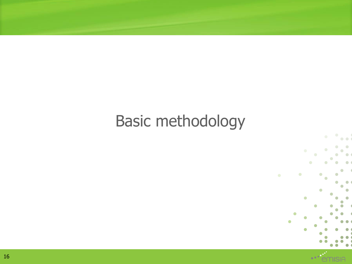#### Basic methodology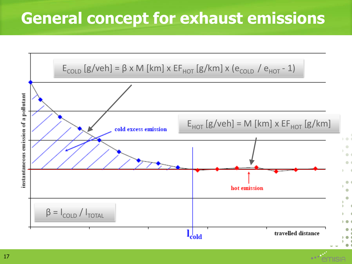#### **General concept for exhaust emissions**

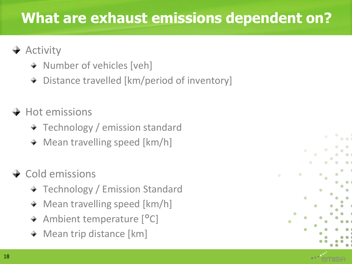#### **What are exhaust emissions dependent on?**

#### $\rightarrow$  Activity

- + Number of vehicles [veh]
- Distance travelled [km/period of inventory]

#### $\rightarrow$  Hot emissions

- + Technology / emission standard
- **★ Mean travelling speed [km/h]**

#### $\div$  Cold emissions

- **★ Technology / Emission Standard**
- Mean travelling speed [km/h]
- + Ambient temperature [<sup>o</sup>C]
- Mean trip distance [km]

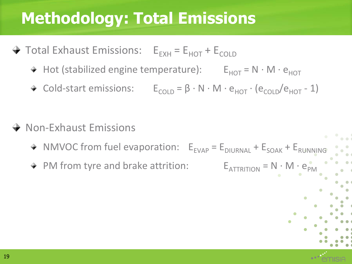#### **Methodology: Total Emissions**

- $\rightarrow$  Total Exhaust Emissions:  $E_{FXH} = E_{HOT} + E_{COLD}$ 
	- + Hot (stabilized engine temperature):  $E_{HOT} = N \cdot M \cdot e_{HOT}$
	- + Cold-start emissions:  $E_{\text{CO1D}} = \beta \cdot N \cdot M \cdot e_{\text{HOT}} \cdot (e_{\text{CO1D}}/e_{\text{HOT}} 1)$
- **→ Non-Exhaust Emissions** 
	- $\text{W}$  NMVOC from fuel evaporation:  $E_{EVAP} = E_{DIURNAL} + E_{SOAK} + E_{RUNNING}$
	- + PM from tyre and brake attrition:  $E_{\text{ATTRITION}} = N \cdot M \cdot e_{\text{PM}}$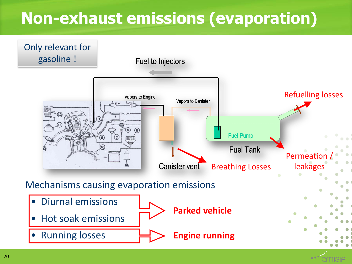### **Non-exhaust emissions (evaporation)**

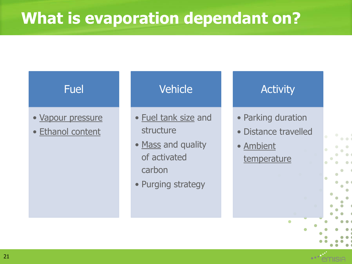#### **What is evaporation dependant on?**

#### Fuel

- Vapour pressure
- Ethanol content

#### **Vehicle**

- Fuel tank size and structure
- Mass and quality of activated carbon
- Purging strategy

#### **Activity**

- Parking duration
- Distance travelled
- Ambient temperature

21